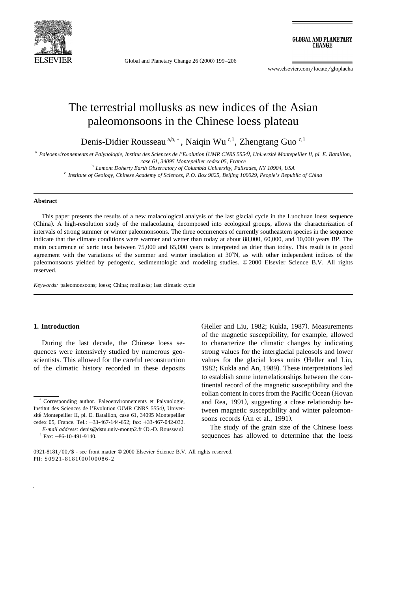

Global and Planetary Change  $26 (2000) 199 - 206$ 

**GLOBAL AND PLANETARY CHANGE** 

www.elsevier.com/locate/gloplacha

# The terrestrial mollusks as new indices of the Asian paleomonsoons in the Chinese loess plateau

Denis-Didier Rousseau  $a,b,*$ , Naiqin Wu <sup>c,1</sup>, Zhengtang Guo <sup>c,1</sup>

<sup>a</sup> *Paleoen*Õ*ironnements et Palynologie, Institut des Sciences de l'E*Õ*olution UMR CNRS 5554 , Uni ( )* Õ*ersite Montepellier II, pl. E. Bataillon,* ´

case 61, 34095 Montepellier cedex 05, France<br><sup>b</sup> Lamont Doherty Earth Observatory of Columbia University, Palisades, NY 10904, USA<br><sup>c</sup> Institute of Geology, Chinese Academy of Sciences, P.O. Box 9825, Beijing 100029, Peopl

#### **Abstract**

This paper presents the results of a new malacological analysis of the last glacial cycle in the Luochuan loess sequence (China). A high-resolution study of the malacofauna, decomposed into ecological groups, allows the characterization of intervals of strong summer or winter paleomonsoons. The three occurrences of currently southeastern species in the sequence indicate that the climate conditions were warmer and wetter than today at about 88,000, 60,000, and 10,000 years BP. The main occurrence of xeric taxa between 75,000 and 65,000 years is interpreted as drier than today. This result is in good agreement with the variations of the summer and winter insolation at  $30^{\circ}$ N, as with other independent indices of the paleomonsoons yielded by pedogenic, sedimentologic and modeling studies. © 2000 Elsevier Science B.V. All rights reserved.

*Keywords:* paleomonsoons; loess; China; mollusks; last climatic cycle

#### **1. Introduction**

During the last decade, the Chinese loess sequences were intensively studied by numerous geoscientists. This allowed for the careful reconstruction of the climatic history recorded in these deposits

(Heller and Liu, 1982; Kukla, 1987). Measurements of the magnetic susceptibility, for example, allowed to characterize the climatic changes by indicating strong values for the interglacial paleosols and lower values for the glacial loess units (Heller and Liu, 1982; Kukla and An, 1989). These interpretations led to establish some interrelationships between the continental record of the magnetic susceptibility and the eolian content in cores from the Pacific Ocean (Hovan and Rea, 1991), suggesting a close relationship between magnetic susceptibility and winter paleomonsoons records (An et al., 1991).

The study of the grain size of the Chinese loess sequences has allowed to determine that the loess

<sup>)</sup> Corresponding author. Paleoenvironnements et Palynologie, Institut des Sciences de l'Evolution (UMR CNRS 5554), Université Montepellier II, pl. E. Bataillon, case 61, 34095 Montepellier cedex 05, France. Tel.: +33-467-144-652; fax: +33-467-042-032.

*E-mail address:* denis@dstu.univ-montp2.fr (D.-D. Rousseau).<br><sup>1</sup> Fax: +86-10-491-9140.

<sup>0921-8181/00/\$ -</sup> see front matter  $© 2000$  Elsevier Science B.V. All rights reserved. PII: S0921-8181(00)00086-2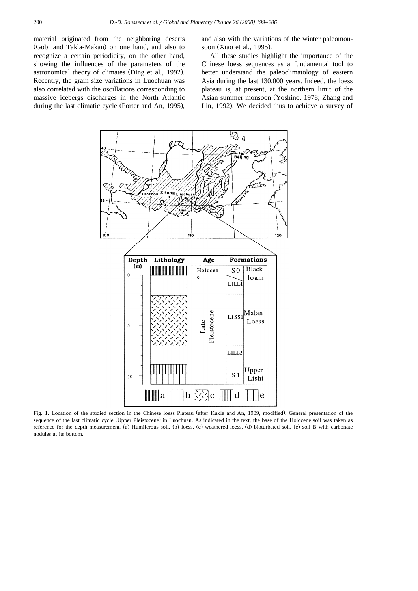material originated from the neighboring deserts (Gobi and Takla-Makan) on one hand, and also to recognize a certain periodicity, on the other hand, showing the influences of the parameters of the astronomical theory of climates (Ding et al., 1992). Recently, the grain size variations in Luochuan was also correlated with the oscillations corresponding to massive icebergs discharges in the North Atlantic during the last climatic cycle (Porter and An, 1995), and also with the variations of the winter paleomonsoon (Xiao et al., 1995).

All these studies highlight the importance of the Chinese loess sequences as a fundamental tool to better understand the paleoclimatology of eastern Asia during the last 130,000 years. Indeed, the loess plateau is, at present, at the northern limit of the Asian summer monsoon (Yoshino, 1978; Zhang and Lin, 1992). We decided thus to achieve a survey of



Fig. 1. Location of the studied section in the Chinese loess Plateau (after Kukla and An, 1989, modified). General presentation of the sequence of the last climatic cycle (Upper Pleistocene) in Luochuan. As indicated in the text, the base of the Holocene soil was taken as reference for the depth measurement. (a) Humiferous soil, (b) loess, (c) weathered loess, (d) bioturbated soil, (e) soil B with carbonate nodules at its bottom.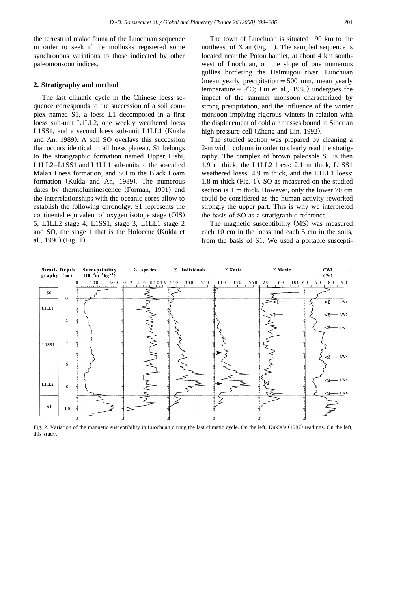the terrestrial malacifauna of the Luochuan sequence in order to seek if the mollusks registered some synchronous variations to those indicated by other paleomonsoon indices.

#### **2. Stratigraphy and method**

The last climatic cycle in the Chinese loess sequence corresponds to the succession of a soil complex named S1, a loess L1 decomposed in a first loess sub-unit L1LL2, one weekly weathered loess L1SS1, and a second loess sub-unit L1LL1 (Kukla and An, 1989). A soil SO overlays this succession that occurs identical in all loess plateau. S1 belongs to the stratigraphic formation named Upper Lishi, L1LL2–L1SS1 and L1LL1 sub-units to the so-called Malan Loess formation, and SO to the Black Loam formation (Kukla and An, 1989). The numerous dates by thermoluminescence (Forman, 1991) and the interrelationships with the oceanic cores allow to establish the following chronolgy. S1 represents the continental equivalent of oxygen isotope stage (OIS) 5, L1LL2 stage 4, L1SS1, stage 3, L1LL1 stage 2 and SO, the stage 1 that is the Holocene (Kukla et al., 1990) (Fig. 1).

The town of Luochuan is situated 190 km to the northeast of Xian (Fig. 1). The sampled sequence is located near the Potou hamlet, at about 4 km southwest of Luochuan, on the slope of one numerous gullies bordering the Heimugou river. Luochuan (mean yearly precipitation  $=500$  mm, mean yearly temperature =  $9^{\circ}$ C; Liu et al., 1985) undergoes the impact of the summer monsoon characterized by strong precipitation, and the influence of the winter monsoon implying rigorous winters in relation with the displacement of cold air masses bound to Siberian high pressure cell (Zhang and Lin, 1992).

The studied section was prepared by cleaning a 2-m width column in order to clearly read the stratigraphy. The complex of brown paleosols S1 is then 1.9 m thick, the L1LL2 loess: 2.1 m thick, L1SS1 weathered loess: 4.9 m thick, and the L1LL1 loess: 1.8 m thick (Fig. 1). SO as measured on the studied section is 1 m thick. However, only the lower 70 cm could be considered as the human activity reworked strongly the upper part. This is why we interpreted the basis of SO as a stratigraphic reference.

The magnetic susceptibility (MS) was measured each 10 cm in the loess and each 5 cm in the soils, from the basis of S1. We used a portable suscepti-



Fig. 2. Variation of the magnetic susceptibility in Luochuan during the last climatic cycle. On the left, Kukla's (1987) readings. On the left, this study.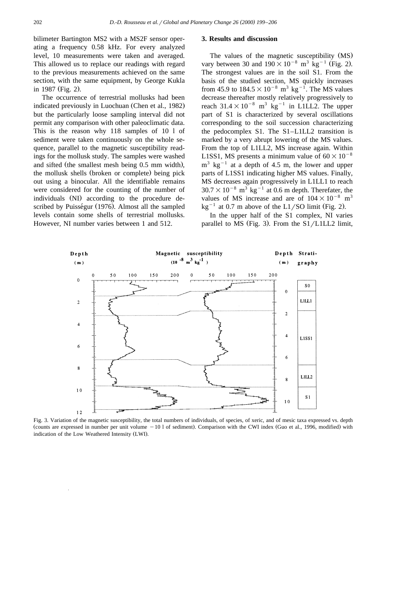bilimeter Bartington MS2 with a MS2F sensor operating a frequency 0.58 kHz. For every analyzed level, 10 measurements were taken and averaged. This allowed us to replace our readings with regard to the previous measurements achieved on the same section, with the same equipment, by George Kukla in 1987 (Fig. 2).

The occurrence of terrestrial mollusks had been indicated previously in Luochuan (Chen et al., 1982) but the particularly loose sampling interval did not permit any comparison with other paleoclimatic data. This is the reason why 118 samples of 10 l of sediment were taken continuously on the whole sequence, parallel to the magnetic susceptibility readings for the mollusk study. The samples were washed and sifted (the smallest mesh being 0.5 mm width), the mollusk shells (broken or complete) being pick out using a binocular. All the identifiable remains were considered for the counting of the number of individuals (NI) according to the procedure described by Puisségur (1976). Almost all the sampled levels contain some shells of terrestrial mollusks. However, NI number varies between 1 and 512.

#### **3. Results and discussion**

The values of the magnetic susceptibility (MS) vary between 30 and  $190 \times 10^{-8}$  m<sup>3</sup> kg<sup>-1</sup> (Fig. 2). The strongest values are in the soil S1. From the basis of the studied section, MS quickly increases from 45.9 to  $184.5 \times 10^{-8}$  m<sup>3</sup> kg<sup>-1</sup>. The MS values decrease thereafter mostly relatively progressively to reach  $31.4\times10^{-8}$  m<sup>3</sup> kg<sup>-1</sup> in L1LL2. The upper part of S1 is characterized by several oscillations corresponding to the soil succession characterizing the pedocomplex S1. The S1–L1LL2 transition is marked by a very abrupt lowering of the MS values. From the top of L1LL2, MS increase again. Within L1SS1, MS presents a minimum value of  $60\times10^{-8}$  $m<sup>3</sup>$  kg<sup>-1</sup> at a depth of 4.5 m, the lower and upper parts of L1SS1 indicating higher MS values. Finally, MS decreases again progressively in L1LL1 to reach  $30.7\times10^{-8}$  m<sup>3</sup> kg<sup>-1</sup> at 0.6 m depth. Therefater, the values of MS increase and are of  $104\times10^{-8}$  m<sup>3</sup>  $kg^{-1}$  at 0.7 m above of the L1/SO limit (Fig. 2).

In the upper half of the S1 complex, NI varies parallel to MS (Fig. 3). From the  $S1/L1LL2$  limit,



Fig. 3. Variation of the magnetic susceptibility, the total numbers of individuals, of species, of xeric, and of mesic taxa expressed vs. depth (counts are expressed in number per unit volume  $-101$  of sediment). Comparison with the CWI index (Guo et al., 1996, modified) with indication of the Low Weathered Intensity (LWI).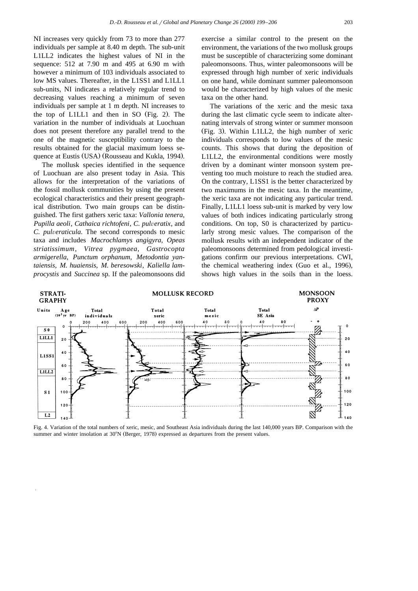NI increases very quickly from 73 to more than 277 individuals per sample at 8.40 m depth. The sub-unit L1LL2 indicates the highest values of NI in the sequence: 512 at 7.90 m and 495 at 6.90 m with however a minimum of 103 individuals associated to low MS values. Thereafter, in the L1SS1 and L1LL1 sub-units, NI indicates a relatively regular trend to decreasing values reaching a minimum of seven individuals per sample at 1 m depth. NI increases to the top of  $L1LL1$  and then in SO (Fig. 2). The variation in the number of individuals at Luochuan does not present therefore any parallel trend to the one of the magnetic susceptibility contrary to the results obtained for the glacial maximum loess sequence at Eustis (USA) (Rousseau and Kukla, 1994).

The mollusk species identified in the sequence of Luochuan are also present today in Asia. This allows for the interpretation of the variations of the fossil mollusk communities by using the present ecological characteristics and their present geographical distribution. Two main groups can be distinguished. The first gathers xeric taxa: *Vallonia tenera*, *Pupilla aeoli, Cathaica richtofeni, C. pulveratix, and C. pulveraticula.* The second corresponds to mesic taxa and includes *Macrochlamys angigyra*, *Opeas striatissimum*, *Vitrea pygmaea*, *Gastrocopta armigerella*, *Punctum orphanum*, *Metodontia yantaiensis*, *M. huaiensis*, *M. beresowski*, *Kaliella lamprocystis* and *Succinea* sp. If the paleomonsoons did

exercise a similar control to the present on the environment, the variations of the two mollusk groups must be susceptible of characterizing some dominant paleomonsoons. Thus, winter paleomonsoons will be expressed through high number of xeric individuals on one hand, while dominant summer paleomonsoon would be characterized by high values of the mesic taxa on the other hand.

The variations of the xeric and the mesic taxa during the last climatic cycle seem to indicate alternating intervals of strong winter or summer monsoon  $(Fig. 3)$ . Within L1LL2, the high number of xeric individuals corresponds to low values of the mesic counts. This shows that during the deposition of L1LL2, the environmental conditions were mostly driven by a dominant winter monsoon system preventing too much moisture to reach the studied area. On the contrary, L1SS1 is the better characterized by two maximums in the mesic taxa. In the meantime, the xeric taxa are not indicating any particular trend. Finally, L1LL1 loess sub-unit is marked by very low values of both indices indicating particularly strong conditions. On top, S0 is characterized by particularly strong mesic values. The comparison of the mollusk results with an independent indicator of the paleomonsoons determined from pedological investigations confirm our previous interpretations. CWI, the chemical weathering index (Guo et al., 1996), shows high values in the soils than in the loess.



Fig. 4. Variation of the total numbers of xeric, mesic, and Southeast Asia individuals during the last 140,000 years BP. Comparison with the summer and winter insolation at 30°N (Berger, 1978) expressed as departures from the present values.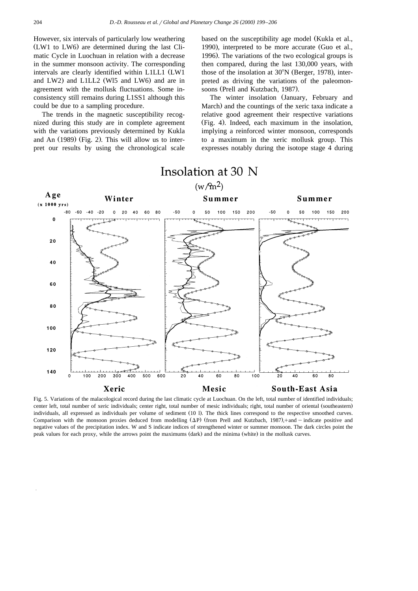However, six intervals of particularly low weathering  $(LW1)$  to  $LW6$ ) are determined during the last Climatic Cycle in Luochuan in relation with a decrease in the summer monsoon activity. The corresponding intervals are clearly identified within L1LL1 (LW1) and LW2) and L1LL2 (W15 and LW6) and are in agreement with the mollusk fluctuations. Some inconsistency still remains during L1SS1 although this could be due to a sampling procedure.

The trends in the magnetic susceptibility recognized during this study are in complete agreement with the variations previously determined by Kukla and An  $(1989)$  (Fig. 2). This will allow us to interpret our results by using the chronological scale based on the susceptibility age model (Kukla et al., 1990), interpreted to be more accurate (Guo et al., 1996). The variations of the two ecological groups is then compared, during the last 130,000 years, with those of the insolation at  $30^{\circ}$ N (Berger, 1978), interpreted as driving the variations of the paleomonsoons (Prell and Kutzbach, 1987).

The winter insolation (January, February and March) and the countings of the xeric taxa indicate a relative good agreement their respective variations (Fig. 4). Indeed, each maximum in the insolation, implying a reinforced winter monsoon, corresponds to a maximum in the xeric mollusk group. This expresses notably during the isotope stage 4 during



Fig. 5. Variations of the malacological record during the last climatic cycle at Luochuan. On the left, total number of identified individuals; center left, total number of xeric individuals; center right, total number of mesic individuals; right, total number of oriental (southeastern) individuals, all expressed as individuals per volume of sediment (10 l). The thick lines correspond to the respective smoothed curves. Comparison with the monsoon proxies deduced from modelling  $(\Delta P)$  (from Prell and Kutzbach, 1987),+and – indicate positive and negative values of the precipitation index. W and S indicate indices of strengthened winter or summer monsoon. The dark circles point the peak values for each proxy, while the arrows point the maximums (dark) and the minima (white) in the mollusk curves.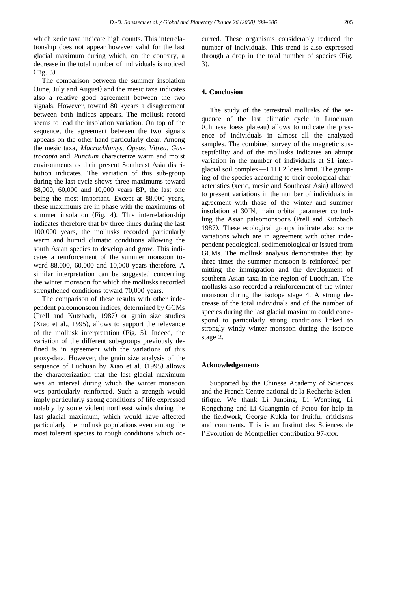tionship does not appear however valid for the last glacial maximum during which, on the contrary, a decrease in the total number of individuals is noticed  $(Fig. 3)$ .

The comparison between the summer insolation (June, July and August) and the mesic taxa indicates also a relative good agreement between the two signals. However, toward 80 kyears a disagreement between both indices appears. The mollusk record seems to lead the insolation variation. On top of the sequence, the agreement between the two signals appears on the other hand particularly clear. Among the mesic taxa, *Macrochlamys*, *Opeas*, *Vitrea*, *Gastrocopta* and *Punctum* characterize warm and moist environments as their present Southeast Asia distribution indicates. The variation of this sub-group during the last cycle shows three maximums toward 88,000, 60,000 and 10,000 years BP, the last one being the most important. Except at 88,000 years, these maximums are in phase with the maximums of summer insolation (Fig. 4). This interrelationship indicates therefore that by three times during the last 100,000 years, the mollusks recorded particularly warm and humid climatic conditions allowing the south Asian species to develop and grow. This indicates a reinforcement of the summer monsoon toward 88,000, 60,000 and 10,000 years therefore. A similar interpretation can be suggested concerning the winter monsoon for which the mollusks recorded strengthened conditions toward 70,000 years.

The comparison of these results with other independent paleomonsoon indices, determined by GCMs (Prell and Kutzbach, 1987) or grain size studies  $(Xiao et al., 1995)$ , allows to support the relevance of the mollusk interpretation (Fig. 5). Indeed, the variation of the different sub-groups previously defined is in agreement with the variations of this proxy-data. However, the grain size analysis of the sequence of Luchuan by Xiao et al. (1995) allows the characterization that the last glacial maximum was an interval during which the winter monsoon was particularly reinforced. Such a strength would imply particularly strong conditions of life expressed notably by some violent northeast winds during the last glacial maximum, which would have affected particularly the mollusk populations even among the most tolerant species to rough conditions which oc-

curred. These organisms considerably reduced the number of individuals. This trend is also expressed through a drop in the total number of species (Fig.  $3)$ .

## **4. Conclusion**

The study of the terrestrial mollusks of the sequence of the last climatic cycle in Luochuan (Chinese loess plateau) allows to indicate the presence of individuals in almost all the analyzed samples. The combined survey of the magnetic susceptibility and of the mollusks indicates an abrupt variation in the number of individuals at S1 interglacial soil complex—L1LL2 loess limit. The grouping of the species according to their ecological characteristics (xeric, mesic and Southeast Asia) allowed to present variations in the number of individuals in agreement with those of the winter and summer insolation at 30°N, main orbital parameter controlling the Asian paleomonsoons (Prell and Kutzbach 1987). These ecological groups indicate also some variations which are in agreement with other independent pedological, sedimentological or issued from GCMs. The mollusk analysis demonstrates that by three times the summer monsoon is reinforced permitting the immigration and the development of southern Asian taxa in the region of Luochuan. The mollusks also recorded a reinforcement of the winter monsoon during the isotope stage 4. A strong decrease of the total individuals and of the number of species during the last glacial maximum could correspond to particularly strong conditions linked to strongly windy winter monsoon during the isotope stage 2.

## **Acknowledgements**

Supported by the Chinese Academy of Sciences and the French Centre national de la Recherhe Scientifique. We thank Li Junping, Li Wenping, Li Rongchang and Li Guangmin of Potou for help in the fieldwork, George Kukla for fruitful criticisms and comments. This is an Institut des Sciences de l'Evolution de Montpellier contribution 97-xxx.